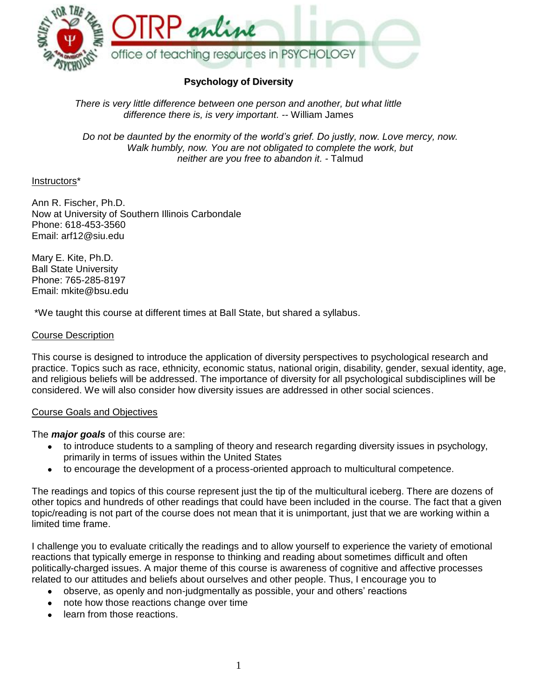

# **Psychology of Diversity**

*There is very little difference between one person and another, but what little difference there is, is very important. --* William James

*Do not be daunted by the enormity of the world's grief. Do justly, now. Love mercy, now. Walk humbly, now. You are not obligated to complete the work, but neither are you free to abandon it. -* Talmud

### Instructors\*

Ann R. Fischer, Ph.D. Now at University of Southern Illinois Carbondale Phone: 618-453-3560 Email: arf12@siu.edu

Mary E. Kite, Ph.D. Ball State University Phone: 765-285-8197 Email: mkite@bsu.edu

\*We taught this course at different times at Ball State, but shared a syllabus.

### Course Description

This course is designed to introduce the application of diversity perspectives to psychological research and practice. Topics such as race, ethnicity, economic status, national origin, disability, gender, sexual identity, age, and religious beliefs will be addressed. The importance of diversity for all psychological subdisciplines will be considered. We will also consider how diversity issues are addressed in other social sciences.

#### Course Goals and Objectives

The *major goals* of this course are:

- to introduce students to a sampling of theory and research regarding diversity issues in psychology, primarily in terms of issues within the United States
- to encourage the development of a process-oriented approach to multicultural competence.  $\bullet$

The readings and topics of this course represent just the tip of the multicultural iceberg. There are dozens of other topics and hundreds of other readings that could have been included in the course. The fact that a given topic/reading is not part of the course does not mean that it is unimportant, just that we are working within a limited time frame.

I challenge you to evaluate critically the readings and to allow yourself to experience the variety of emotional reactions that typically emerge in response to thinking and reading about sometimes difficult and often politically-charged issues. A major theme of this course is awareness of cognitive and affective processes related to our attitudes and beliefs about ourselves and other people. Thus, I encourage you to

- observe, as openly and non-judgmentally as possible, your and others" reactions
- note how those reactions change over time
- learn from those reactions.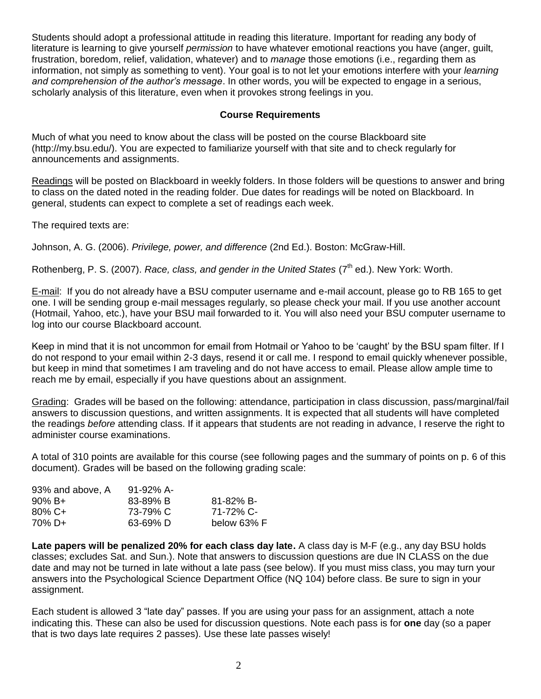Students should adopt a professional attitude in reading this literature. Important for reading any body of literature is learning to give yourself *permission* to have whatever emotional reactions you have (anger, guilt, frustration, boredom, relief, validation, whatever) and to *manage* those emotions (i.e., regarding them as information, not simply as something to vent). Your goal is to not let your emotions interfere with your *learning and comprehension of the author's message*. In other words, you will be expected to engage in a serious, scholarly analysis of this literature, even when it provokes strong feelings in you.

# **Course Requirements**

Much of what you need to know about the class will be posted on the course Blackboard site (http://my.bsu.edu/). You are expected to familiarize yourself with that site and to check regularly for announcements and assignments.

Readings will be posted on Blackboard in weekly folders. In those folders will be questions to answer and bring to class on the dated noted in the reading folder. Due dates for readings will be noted on Blackboard. In general, students can expect to complete a set of readings each week.

The required texts are:

Johnson, A. G. (2006). *Privilege, power, and difference* (2nd Ed.). Boston: McGraw-Hill.

Rothenberg, P. S. (2007). *Race, class, and gender in the United States* (7<sup>th</sup> ed.). New York: Worth.

E-mail: If you do not already have a BSU computer username and e-mail account, please go to RB 165 to get one. I will be sending group e-mail messages regularly, so please check your mail. If you use another account (Hotmail, Yahoo, etc.), have your BSU mail forwarded to it. You will also need your BSU computer username to log into our course Blackboard account.

Keep in mind that it is not uncommon for email from Hotmail or Yahoo to be "caught" by the BSU spam filter. If I do not respond to your email within 2-3 days, resend it or call me. I respond to email quickly whenever possible, but keep in mind that sometimes I am traveling and do not have access to email. Please allow ample time to reach me by email, especially if you have questions about an assignment.

Grading: Grades will be based on the following: attendance, participation in class discussion, pass/marginal/fail answers to discussion questions, and written assignments. It is expected that all students will have completed the readings *before* attending class. If it appears that students are not reading in advance, I reserve the right to administer course examinations.

A total of 310 points are available for this course (see following pages and the summary of points on p. 6 of this document). Grades will be based on the following grading scale:

| 93% and above, A  | $91 - 92\%$ A- |                |
|-------------------|----------------|----------------|
| $90\% \text{ B+}$ | 83-89% B       | $81 - 82\%$ B- |
| $80\%$ C+         | 73-79% C       | 71-72% C-      |
| 70% D+            | 63-69% D       | below 63% F    |

**Late papers will be penalized 20% for each class day late.** A class day is M-F (e.g., any day BSU holds classes; excludes Sat. and Sun.). Note that answers to discussion questions are due IN CLASS on the due date and may not be turned in late without a late pass (see below). If you must miss class, you may turn your answers into the Psychological Science Department Office (NQ 104) before class. Be sure to sign in your assignment.

Each student is allowed 3 "late day" passes. If you are using your pass for an assignment, attach a note indicating this. These can also be used for discussion questions. Note each pass is for **one** day (so a paper that is two days late requires 2 passes). Use these late passes wisely!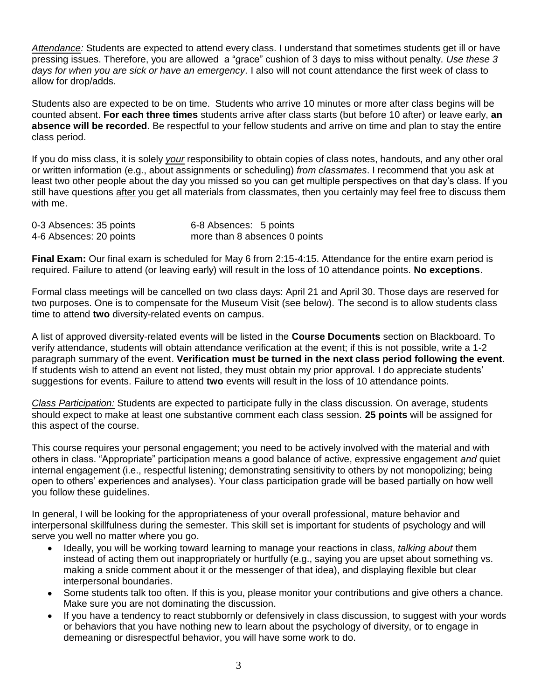*Attendance:* Students are expected to attend every class. I understand that sometimes students get ill or have pressing issues. Therefore, you are allowed a "grace" cushion of 3 days to miss without penalty. *Use these 3 days for when you are sick or have an emergency.* I also will not count attendance the first week of class to allow for drop/adds.

Students also are expected to be on time. Students who arrive 10 minutes or more after class begins will be counted absent. **For each three times** students arrive after class starts (but before 10 after) or leave early, **an absence will be recorded**. Be respectful to your fellow students and arrive on time and plan to stay the entire class period.

If you do miss class, it is solely *your* responsibility to obtain copies of class notes, handouts, and any other oral or written information (e.g., about assignments or scheduling) *from classmates*. I recommend that you ask at least two other people about the day you missed so you can get multiple perspectives on that day"s class. If you still have questions after you get all materials from classmates, then you certainly may feel free to discuss them with me.

| 0-3 Absences: 35 points | 6-8 Absences: 5 points        |
|-------------------------|-------------------------------|
| 4-6 Absences: 20 points | more than 8 absences 0 points |

**Final Exam:** Our final exam is scheduled for May 6 from 2:15-4:15. Attendance for the entire exam period is required. Failure to attend (or leaving early) will result in the loss of 10 attendance points. **No exceptions**.

Formal class meetings will be cancelled on two class days: April 21 and April 30. Those days are reserved for two purposes. One is to compensate for the Museum Visit (see below). The second is to allow students class time to attend **two** diversity-related events on campus.

A list of approved diversity-related events will be listed in the **Course Documents** section on Blackboard. To verify attendance, students will obtain attendance verification at the event; if this is not possible, write a 1-2 paragraph summary of the event. **Verification must be turned in the next class period following the event**. If students wish to attend an event not listed, they must obtain my prior approval. I do appreciate students" suggestions for events. Failure to attend **two** events will result in the loss of 10 attendance points.

*Class Participation:* Students are expected to participate fully in the class discussion. On average, students should expect to make at least one substantive comment each class session. **25 points** will be assigned for this aspect of the course.

This course requires your personal engagement; you need to be actively involved with the material and with others in class. "Appropriate" participation means a good balance of active, expressive engagement *and* quiet internal engagement (i.e., respectful listening; demonstrating sensitivity to others by not monopolizing; being open to others" experiences and analyses). Your class participation grade will be based partially on how well you follow these guidelines.

In general, I will be looking for the appropriateness of your overall professional, mature behavior and interpersonal skillfulness during the semester. This skill set is important for students of psychology and will serve you well no matter where you go.

- Ideally, you will be working toward learning to manage your reactions in class, *talking about* them instead of acting them out inappropriately or hurtfully (e.g., saying you are upset about something vs. making a snide comment about it or the messenger of that idea), and displaying flexible but clear interpersonal boundaries.
- Some students talk too often. If this is you, please monitor your contributions and give others a chance. Make sure you are not dominating the discussion.
- If you have a tendency to react stubbornly or defensively in class discussion, to suggest with your words or behaviors that you have nothing new to learn about the psychology of diversity, or to engage in demeaning or disrespectful behavior, you will have some work to do.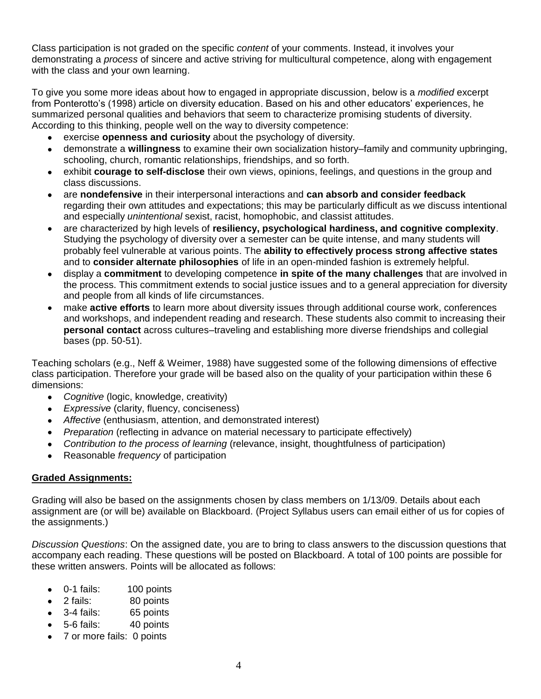Class participation is not graded on the specific *content* of your comments. Instead, it involves your demonstrating a *process* of sincere and active striving for multicultural competence, along with engagement with the class and your own learning.

To give you some more ideas about how to engaged in appropriate discussion, below is a *modified* excerpt from Ponterotto's (1998) article on diversity education. Based on his and other educators' experiences, he summarized personal qualities and behaviors that seem to characterize promising students of diversity. According to this thinking, people well on the way to diversity competence:

- exercise **openness and curiosity** about the psychology of diversity.  $\bullet$
- demonstrate a **willingness** to examine their own socialization history–family and community upbringing, schooling, church, romantic relationships, friendships, and so forth.
- exhibit **courage to self-disclose** their own views, opinions, feelings, and questions in the group and  $\bullet$ class discussions.
- are **nondefensive** in their interpersonal interactions and **can absorb and consider feedback** regarding their own attitudes and expectations; this may be particularly difficult as we discuss intentional and especially *unintentional* sexist, racist, homophobic, and classist attitudes.
- are characterized by high levels of **resiliency, psychological hardiness, and cognitive complexity**. Studying the psychology of diversity over a semester can be quite intense, and many students will probably feel vulnerable at various points. The **ability to effectively process strong affective states** and to **consider alternate philosophies** of life in an open-minded fashion is extremely helpful.
- display a **commitment** to developing competence **in spite of the many challenges** that are involved in  $\bullet$ the process. This commitment extends to social justice issues and to a general appreciation for diversity and people from all kinds of life circumstances.
- make **active efforts** to learn more about diversity issues through additional course work, conferences and workshops, and independent reading and research. These students also commit to increasing their **personal contact** across cultures–traveling and establishing more diverse friendships and collegial bases (pp. 50-51).

Teaching scholars (e.g., Neff & Weimer, 1988) have suggested some of the following dimensions of effective class participation. Therefore your grade will be based also on the quality of your participation within these 6 dimensions:

- *Cognitive* (logic, knowledge, creativity)  $\bullet$
- *Expressive* (clarity, fluency, conciseness)
- *Affective (enthusiasm, attention, and demonstrated interest)*
- *Preparation* (reflecting in advance on material necessary to participate effectively)
- *Contribution to the process of learning* (relevance, insight, thoughtfulness of participation)
- Reasonable *frequency* of participation

# **Graded Assignments:**

Grading will also be based on the assignments chosen by class members on 1/13/09. Details about each assignment are (or will be) available on Blackboard. (Project Syllabus users can email either of us for copies of the assignments.)

*Discussion Questions*: On the assigned date, you are to bring to class answers to the discussion questions that accompany each reading. These questions will be posted on Blackboard. A total of 100 points are possible for these written answers. Points will be allocated as follows:

- 0-1 fails: 100 points
- 2 fails: 80 points
- 3-4 fails: 65 points
- 5-6 fails: 40 points
- 7 or more fails: 0 points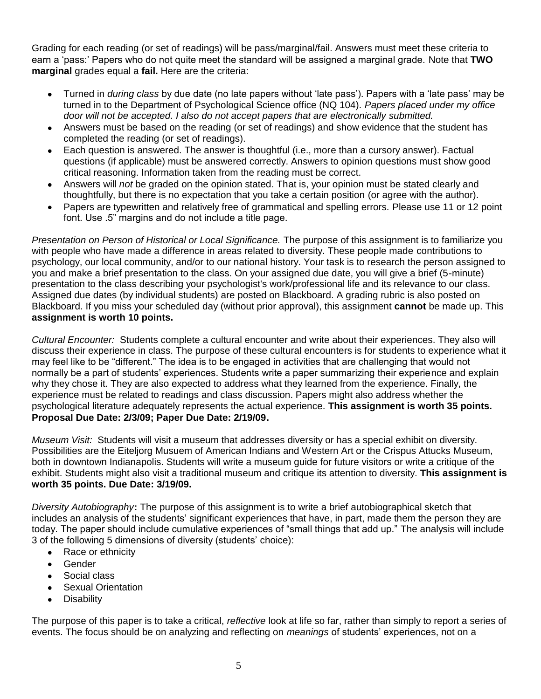Grading for each reading (or set of readings) will be pass/marginal/fail. Answers must meet these criteria to earn a "pass:" Papers who do not quite meet the standard will be assigned a marginal grade. Note that **TWO marginal** grades equal a **fail.** Here are the criteria:

- Turned in *during class* by due date (no late papers without "late pass"). Papers with a "late pass" may be turned in to the Department of Psychological Science office (NQ 104). *Papers placed under my office door will not be accepted. I also do not accept papers that are electronically submitted.*
- Answers must be based on the reading (or set of readings) and show evidence that the student has completed the reading (or set of readings).
- Each question is answered. The answer is thoughtful (i.e., more than a cursory answer). Factual questions (if applicable) must be answered correctly. Answers to opinion questions must show good critical reasoning. Information taken from the reading must be correct.
- Answers will *not* be graded on the opinion stated. That is, your opinion must be stated clearly and thoughtfully, but there is no expectation that you take a certain position (or agree with the author).
- Papers are typewritten and relatively free of grammatical and spelling errors. Please use 11 or 12 point font. Use .5" margins and do not include a title page.

*Presentation on Person of Historical or Local Significance.* The purpose of this assignment is to familiarize you with people who have made a difference in areas related to diversity. These people made contributions to psychology, our local community, and/or to our national history. Your task is to research the person assigned to you and make a brief presentation to the class. On your assigned due date, you will give a brief (5-minute) presentation to the class describing your psychologist's work/professional life and its relevance to our class. Assigned due dates (by individual students) are posted on Blackboard. A grading rubric is also posted on Blackboard. If you miss your scheduled day (without prior approval), this assignment **cannot** be made up. This **assignment is worth 10 points.**

*Cultural Encounter:* Students complete a cultural encounter and write about their experiences. They also will discuss their experience in class. The purpose of these cultural encounters is for students to experience what it may feel like to be "different." The idea is to be engaged in activities that are challenging that would not normally be a part of students' experiences. Students write a paper summarizing their experience and explain why they chose it. They are also expected to address what they learned from the experience. Finally, the experience must be related to readings and class discussion. Papers might also address whether the psychological literature adequately represents the actual experience. **This assignment is worth 35 points. Proposal Due Date: 2/3/09; Paper Due Date: 2/19/09.**

*Museum Visit:*Students will visit a museum that addresses diversity or has a special exhibit on diversity. Possibilities are the Eiteljorg Musuem of American Indians and Western Art or the Crispus Attucks Museum, both in downtown Indianapolis. Students will write a museum guide for future visitors or write a critique of the exhibit. Students might also visit a traditional museum and critique its attention to diversity. **This assignment is worth 35 points. Due Date: 3/19/09.**

*Diversity Autobiography***:** The purpose of this assignment is to write a brief autobiographical sketch that includes an analysis of the students' significant experiences that have, in part, made them the person they are today. The paper should include cumulative experiences of "small things that add up." The analysis will include 3 of the following 5 dimensions of diversity (students" choice):

- Race or ethnicity  $\bullet$
- Gender  $\bullet$
- Social class
- Sexual Orientation
- **Disability**  $\bullet$

The purpose of this paper is to take a critical, *reflective* look at life so far, rather than simply to report a series of events. The focus should be on analyzing and reflecting on *meanings* of students" experiences, not on a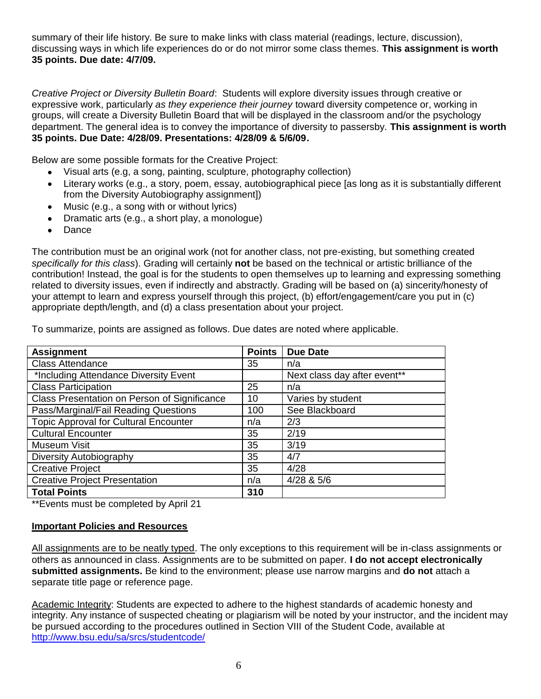summary of their life history. Be sure to make links with class material (readings, lecture, discussion), discussing ways in which life experiences do or do not mirror some class themes. **This assignment is worth 35 points. Due date: 4/7/09.**

*Creative Project or Diversity Bulletin Board*: Students will explore diversity issues through creative or expressive work, particularly *as they experience their journey* toward diversity competence or, working in groups, will create a Diversity Bulletin Board that will be displayed in the classroom and/or the psychology department. The general idea is to convey the importance of diversity to passersby. **This assignment is worth 35 points. Due Date: 4/28/09. Presentations: 4/28/09 & 5/6/09.**

Below are some possible formats for the Creative Project:

- Visual arts (e.g, a song, painting, sculpture, photography collection)  $\bullet$
- Literary works (e.g., a story, poem, essay, autobiographical piece [as long as it is substantially different from the Diversity Autobiography assignment])
- Music (e.g., a song with or without lyrics)
- Dramatic arts (e.g., a short play, a monologue)
- Dance  $\bullet$

The contribution must be an original work (not for another class, not pre-existing, but something created *specifically for this class*). Grading will certainly **not** be based on the technical or artistic brilliance of the contribution! Instead, the goal is for the students to open themselves up to learning and expressing something related to diversity issues, even if indirectly and abstractly. Grading will be based on (a) sincerity/honesty of your attempt to learn and express yourself through this project, (b) effort/engagement/care you put in (c) appropriate depth/length, and (d) a class presentation about your project.

| <b>Assignment</b>                            | <b>Points</b> | <b>Due Date</b>              |
|----------------------------------------------|---------------|------------------------------|
| <b>Class Attendance</b>                      | 35            | n/a                          |
| *Including Attendance Diversity Event        |               | Next class day after event** |
| <b>Class Participation</b>                   | 25            | n/a                          |
| Class Presentation on Person of Significance | 10            | Varies by student            |
| Pass/Marginal/Fail Reading Questions         | 100           | See Blackboard               |
| <b>Topic Approval for Cultural Encounter</b> | n/a           | 2/3                          |
| <b>Cultural Encounter</b>                    | 35            | 2/19                         |
| Museum Visit                                 | 35            | 3/19                         |
| Diversity Autobiography                      | 35            | 4/7                          |
| <b>Creative Project</b>                      | 35            | 4/28                         |
| <b>Creative Project Presentation</b>         | n/a           | 4/28 & 5/6                   |
| <b>Total Points</b>                          | 310           |                              |

To summarize, points are assigned as follows. Due dates are noted where applicable.

\*\*Events must be completed by April 21

#### **Important Policies and Resources**

All assignments are to be neatly typed. The only exceptions to this requirement will be in-class assignments or others as announced in class. Assignments are to be submitted on paper. **I do not accept electronically submitted assignments.** Be kind to the environment; please use narrow margins and **do not** attach a separate title page or reference page.

Academic Integrity: Students are expected to adhere to the highest standards of academic honesty and integrity. Any instance of suspected cheating or plagiarism will be noted by your instructor, and the incident may be pursued according to the procedures outlined in Section VIII of the Student Code, available at <http://www.bsu.edu/sa/srcs/studentcode/>